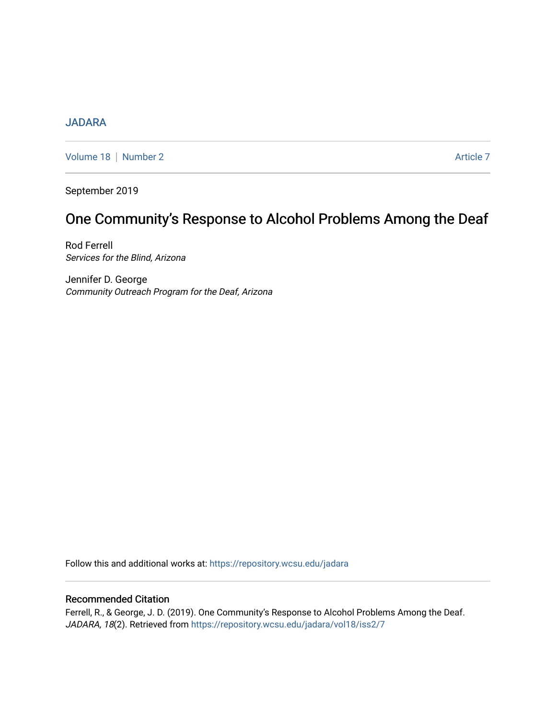# **[JADARA](https://repository.wcsu.edu/jadara)**

[Volume 18](https://repository.wcsu.edu/jadara/vol18) | [Number 2](https://repository.wcsu.edu/jadara/vol18/iss2) Article 7

September 2019

# One Community's Response to Alcohol Problems Among the Deaf

Rod Ferrell Services for the Blind, Arizona

Jennifer D. George Community Outreach Program for the Deaf, Arizona

Follow this and additional works at: [https://repository.wcsu.edu/jadara](https://repository.wcsu.edu/jadara?utm_source=repository.wcsu.edu%2Fjadara%2Fvol18%2Fiss2%2F7&utm_medium=PDF&utm_campaign=PDFCoverPages)

## Recommended Citation

Ferrell, R., & George, J. D. (2019). One Community's Response to Alcohol Problems Among the Deaf. JADARA, 18(2). Retrieved from [https://repository.wcsu.edu/jadara/vol18/iss2/7](https://repository.wcsu.edu/jadara/vol18/iss2/7?utm_source=repository.wcsu.edu%2Fjadara%2Fvol18%2Fiss2%2F7&utm_medium=PDF&utm_campaign=PDFCoverPages)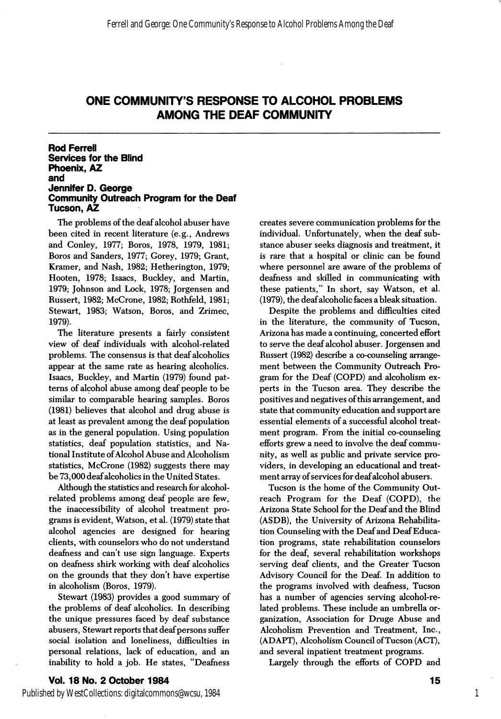# ONE COMMUNITY'S RESPONSE TO ALCOHOL PROBLEMS AMONG THE DEAF COMMUNITY

### Rod Ferrell Services for the Blind Phoenix, AZ and Jennifer D. George Community Outreach Program for the Deaf Tucson, AZ

The problems of the deaf alcohol abuser have been cited in recent literature (e.g., Andrews and Conley, 1977; Boros, 1978, 1979, 1981; Boros and Sanders, 1977; Gorey, 1979; Grant, Kramer, and Nash, 1982; Hetherington, 1979; Hooten, 1978; Isaacs, Buckley, and Martin, 1979; Johnson and Lock, 1978; Jorgensen and Russert, 1982; McGrone, 1982; Rothfeld, 1981; Stewart, 1983; Watson, Boros, and Zrimec, 1979).

The literature presents a fairly consistent view of deaf individuals with alcohol-related problems. The consensus is that deaf alcoholics appear at the same rate as hearing alcoholics. Isaacs, Buckley, and Martin (1979) found pat terns of alcohol abuse among deaf people to be similar to comparable hearing samples. Boros (1981) believes that alcohol and drug abuse is at least as prevalent among the deaf population as in the general population. Using population statistics, deaf population statistics, and Na tional Institute of Alcohol Abuse and Alcoholism statistics, McGrone (1982) suggests there may be 73,000 deaf alcoholics in the United States.

Although the statistics and research for alcoholrelated problems among deaf people are few, the inaccessibility of alcohol treatment pro grams is evident, Watson, et al. (1979) state that alcohol agencies are designed for hearing clients, with counselors who do not understand deafness and can't use sign language. Experts on deafness shirk working with deaf alcoholics on the grounds that they don't have expertise in alcoholism (Boros, 1979).

Stewart (1983) provides a good summary of the problems of deaf alcoholics. In describing the unique pressures faced by deaf substance abusers, Stewart reports that deaf persons suffer social isolation and loneliness, difficulties in personal relations, lack of education, and an inability to hold a job. He states, "Deafness

creates severe communication problems for the individual. Unfortunately, when the deaf sub stance abuser seeks diagnosis and treatment, it is rare that a hospital or clinic can be found where personnel are aware of the problems of deafness and skilled in communicating with these patients," In short, say Watson, et al. (1979), the deaf alcoholic faces a bleak situation.

Despite the problems and difficulties cited in the literature, the community of Tucson, Arizona has made a continuing, concerted effort to serve the deaf alcohol abuser. Jorgensen and Russert (1982) describe a co-counseling arrange ment between the Community Outreach Pro gram for the Deaf (GOPD) and alcoholism ex perts in the Tucson area. They describe the positives and negatives of this arrangement, and state that community education and support are essential elements of a successful alcohol treat ment program. From the initial co-counseling efforts grew a need to involve the deaf commu nity, as well as public and private service pro viders, in developing an educational and treat ment array of services for deaf alcohol abusers.

Tucson is the home of the Community Out reach Program for the Deaf (GOPD), the Arizona State School for the Deaf and the Blind (ASDB), the University of Arizona Rehabilita tion Counseling with the Deaf and Deaf Educa tion programs, state rehabilitation counselors for the deaf, several rehabilitation workshops serving deaf clients, and the Greater Tucson Advisory Council for the Deaf. In addition to the programs involved with deafness, Tucson has a number of agencies serving alcohol-re lated problems. These include an umbrella or ganization, Association for Druge Abuse and Alcoholism Prevention and Treatment, Inc., (ADAPT), Alcoholism Council of Tucson (ACT), and several inpatient treatment programs.

Largely through the efforts of COPD and

Published by WestCollections: digitalcommons@wcsu, 1984

1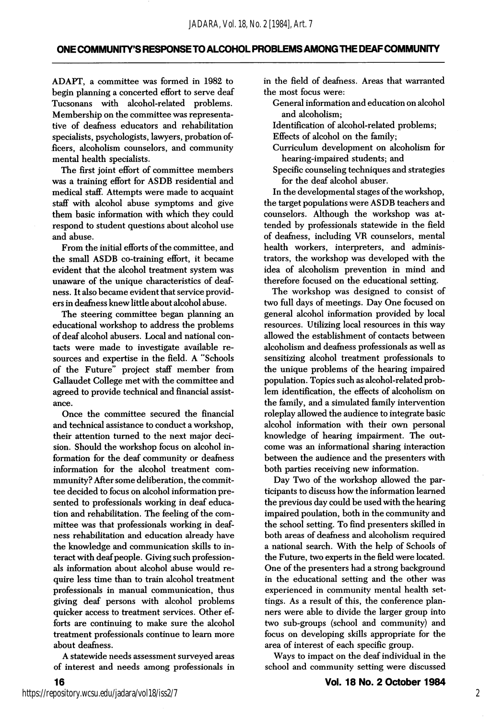### ONE COMMUNITY'S RESPONSE TO ALCOHOL PROBLEMS AMONG THE DEAF COMMUNITY

ADAPT, a committee was formed in 1982 to begin planning a concerted effort to serve deaf Tucsonans with alcohol-related problems. Membership on the committee was representa tive of deafness educators and rehabilitation specialists, psychologists, lawyers, probation of ficers, alcoholism counselors, and community mental health specialists.

The first joint effort of committee members was a training effort for ASDB residential and medical staff. Attempts were made to acquaint staff with alcohol abuse symptoms and give them basic information with which they could respond to student questions about alcohol use and abuse.

From the initial efforts of the committee, and the small ASDB co-training effort, it became evident that the alcohol treatment system was unaware of the unique characteristics of deaf ness. It also became evident that service provid ers in deafness knew little about alcohol abuse.

The steering committee began planning an educational workshop to address the problems of deaf alcohol abusers. Local and national con tacts were made to investigate available re sources and expertise in the field. A "Schools of the Future" project staff member from Callaudet College met with the committee and agreed to provide technical and financial assist ance.

Once the committee secured the financial and technical assistance to conduct a workshop, their attention turned to the next major deci sion. Should the workshop focus on alcohol in formation for the deaf community or deafness information for the alcohol treatment commmunity? After some deliberation, the commit tee decided to focus on alcohol information pre sented to professionals working in deaf educa tion and rehabilitation. The feeling of the com mittee was that professionals working in deaf ness rehabilitation and education already have the knowledge and communication skills to in teract with deaf people. Giving such profession als information about alcohol abuse would re quire less time than to train alcohol treatment professionals in manual communication, thus giving deaf persons with alcohol problems quicker access to treatment services. Other ef forts are continuing to make sure the alcohol treatment professionals continue to leam more about deafness.

A statewide needs assessment surveyed areas of interest and needs among professionals in

in the field of deafness. Areas that warranted the most focus were:

- General information and education on alcohol and alcoholism;
- Identification of alcohol-related problems;
- Effects of alcohol on the family;
- Gurriculum development on alcoholism for hearing-impaired students; and
- Specific counseling techniques and strategies for the deaf alcohol abuser.

In the developmental stages of the workshop, the target populations were ASDB teachers and counselors. Although the workshop was at tended by professionals statewide in the field of deafness, including VR counselors, mental health workers, interpreters, and adminis trators, the workshop was developed with the idea of alcoholism prevention in mind and therefore focused on the educational setting.

The workshop was designed to consist of two full days of meetings. Day One focused on general alcohol information provided by local resources. Utilizing local resources in this way allowed the establishment of contacts between alcoholism and deafness professionals as well as sensitizing alcohol treatment professionals to the unique problems of the hearing impaired population. Topics such as alcohol-related prob lem identification, the effects of alcoholism on the family, and a simulated family intervention roleplay allowed the audience to integrate basic alcohol information with their own personal knowledge of hearing impairment. The out come was an informational sharing interaction between the audience and the presenters with both parties receiving new information.

Day Two of the workshop allowed the par ticipants to discuss how the information learned the previous day could be used with the hearing impaired poulation, both in the community and the school setting. To find presenters skilled in both areas of deafness and alcoholism required a national search. With the help of Schools of the Future, two experts in the field were located. One of the presenters had a strong background in the educational setting and the other was experienced in community mental health set tings. As a result of this, the conference plan ners were able to divide the larger group into two sub-groups (school and community) and focus on developing skills appropriate for the area of interest of each specific group.

Ways to impact on the deaf individual in the school and community setting were discussed

16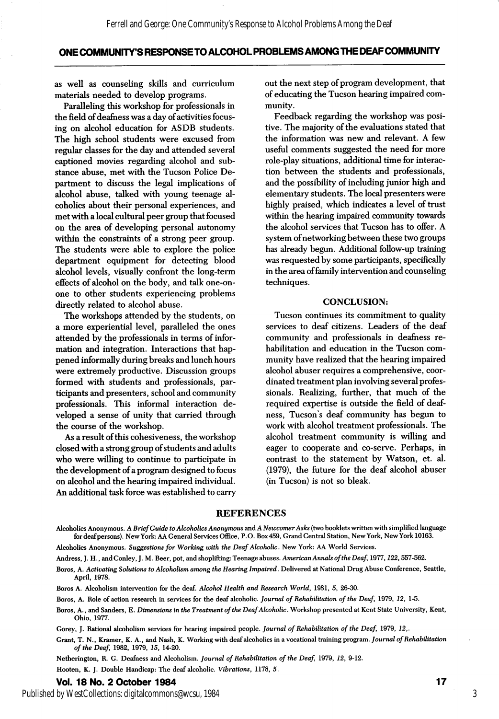### ONE COMMUNITY'S RESPONSE TO ALCOHOL PROBLEMS AMONG THE DEAF COMMUNiTY

as well as counseling skills and curriculum materials needed to develop programs.

Paralleling this workshop for professionals in the field of deafness was a day of activities focus ing on alcohol education for ASDB students. The high school students were excused from regular classes for the day and attended several captioned movies regarding alcohol and sub stance abuse, met with the Tucson Police De partment to discuss the legal implications of alcohol abuse, talked with young teenage al coholics about their personal experiences, and met with a local cultural peer group that focused on the area of developing personal autonomy within the constraints of a strong peer group. The students were able to explore the police department equipment for detecting blood alcohol levels, visually confront the long-term effects of alcohol on the body, and talk one-onone to other students experiencing problems directly related to alcohol abuse.

The workshops attended by the students, on a more experiential level, paralleled the ones attended by the professionals in terms of infor mation and integration. Interactions that hap pened informally during breaks and lunch hours were extremely productive. Discussion groups formed with students and professionals, par ticipants and presenters, school and community professionals. This informal interaction de veloped a sense of unity that carried through the course of the workshop.

As a result of this cohesiveness, the workshop closed with a strong group of students and adults who were willing to continue to participate in the development of a program designed to focus on alcohol and the hearing impaired individual. An additional task force was established to carry

out the next step of program development, that of educating the Tucson hearing impaired com munity.

Feedback regarding the workshop was posi tive. The majority of the evaluations stated that the information was new and relevant. A few useful comments suggested the need for more role-play situations, additional time for interac tion between the students and professionals, and the possibility of including junior high and elementary students. The local presenters were highly praised, which indicates a level of trust within the hearing impaired community towards the alcohol services that Tucson has to offer. A system of networking between these two groups has already begun. Additional follow-up training was requested by some participants, specifically in the area of family intervention and counseling techniques.

### CONCLUSION:

Tucson continues its commitment to quality services to deaf citizens. Leaders of the deaf community and professionals in deafness re habilitation and education in the Tucson com munity have realized that the hearing impaired alcohol abuser requires a comprehensive, coor dinated treatment plan involving several profes sionals. Realizing, further, that much of the required expertise is outside the field of deaf ness, Tucson's deaf community has begun to work with alcohol treatment professionals. The alcohol treatment community is willing and eager to cooperate and co-serve. Perhaps, in contrast to the statement by Watson, et. al. (1979), the future for the deaf alcohol abuser (in Tucson) is not so bleak.

#### REFERENCES

Alcoholics Anonymous. A Brief Guide to Alcoholics Anonymous and A Newcomer Asks (two booklets written with simplified language for deaf persons). New York: AA General Services Office, P.O. Box 459, Grand Central Station, New York, New York 10163.

Alcoholics Anonymous. Suggestions for Working with the Deaf Alcoholic. New York: AA World Services.

Andress, J. H., and Conley, J. M. Beer, pot, and shoplifting: Teenage abuses. American Annals of the Deaf, 1977, 122, 557-562.

Boros, A. Activating Solutions to Alcoholism among the Hearing Impaired. Delivered at National Drug Abuse Conference, Seattle, April, 1978.

Boros A. Alcoholism intervention for the deaf. Alcohol Health and Research World, 1981, 5, 26-30.

Boros, A. Role of action research in services for the deaf alcoholic. Journal of Rehabilitation of the Deaf, 1979, 12, 1-5.

Boros, A., and Sanders, E. Dimensions in the Treatment of the Deaf Alcoholic. Workshop presented at Kent State University, Kent, Ohio, 1977.

Gorey, J. Rational alcoholism services for hearing impaired people. Journal of Rehabilitation of the Deaf, 1979, 12,.

Grant, T. N., Kramer, K. A., and Nash, K. Working with deaf alcoholics in a vocational training program. Journal of Rehabilitation of the Deaf, 1982, 1979, 15, 14-20.

Netherington, R. G. Deafness and Alcoholism. Journal of Rehabilitation of the Deaf, 1979, 12, 9-12. Hooten, K. J. Double Handicap: The deaf alcoholic. Vibrations, 1178, 5.

### Vol. 18 No. 2 October 1984 17

Published by WestCollections: digitalcommons@wcsu, 1984